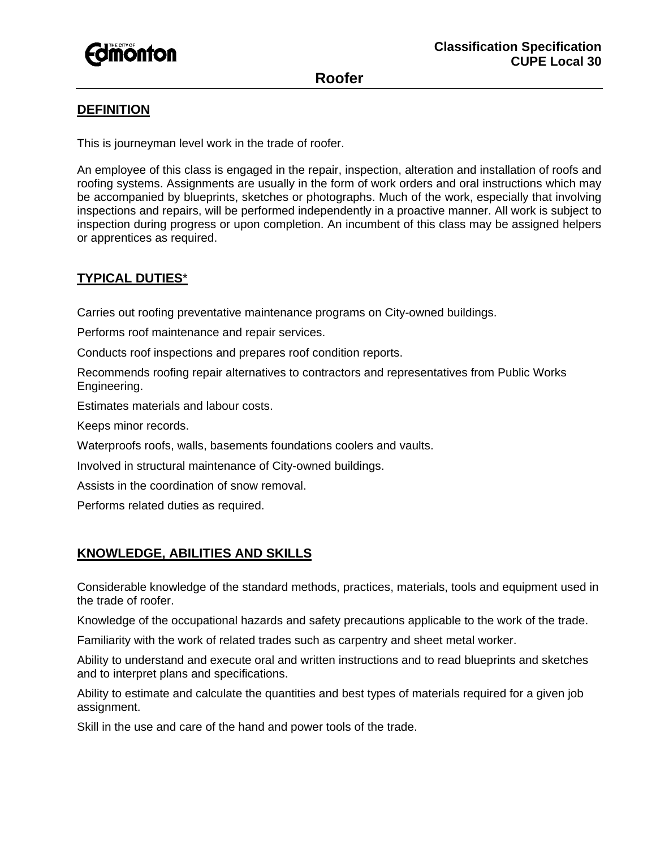

**Roofer** 

# **DEFINITION**

This is journeyman level work in the trade of roofer.

An employee of this class is engaged in the repair, inspection, alteration and installation of roofs and roofing systems. Assignments are usually in the form of work orders and oral instructions which may be accompanied by blueprints, sketches or photographs. Much of the work, especially that involving inspections and repairs, will be performed independently in a proactive manner. All work is subject to inspection during progress or upon completion. An incumbent of this class may be assigned helpers or apprentices as required.

# **TYPICAL DUTIES**\*

Carries out roofing preventative maintenance programs on City-owned buildings.

Performs roof maintenance and repair services.

Conducts roof inspections and prepares roof condition reports.

Recommends roofing repair alternatives to contractors and representatives from Public Works Engineering.

Estimates materials and labour costs.

Keeps minor records.

Waterproofs roofs, walls, basements foundations coolers and vaults.

Involved in structural maintenance of City-owned buildings.

Assists in the coordination of snow removal.

Performs related duties as required.

# **KNOWLEDGE, ABILITIES AND SKILLS**

Considerable knowledge of the standard methods, practices, materials, tools and equipment used in the trade of roofer.

Knowledge of the occupational hazards and safety precautions applicable to the work of the trade.

Familiarity with the work of related trades such as carpentry and sheet metal worker.

Ability to understand and execute oral and written instructions and to read blueprints and sketches and to interpret plans and specifications.

Ability to estimate and calculate the quantities and best types of materials required for a given job assignment.

Skill in the use and care of the hand and power tools of the trade.